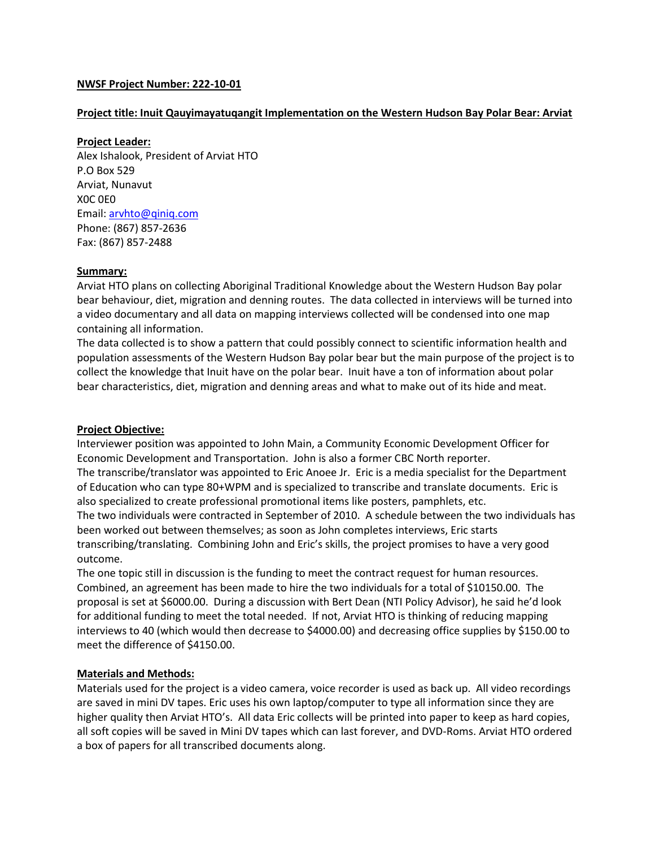## **NWSF Project Number: 222-10-01**

#### **Project title: Inuit Qauyimayatuqangit Implementation on the Western Hudson Bay Polar Bear: Arviat**

#### **Project Leader:**

Alex Ishalook, President of Arviat HTO P.O Box 529 Arviat, Nunavut X0C 0E0 Email: [arvhto@qiniq.com](mailto:arvhto@qiniq.com) Phone: (867) 857-2636 Fax: (867) 857-2488

#### **Summary:**

Arviat HTO plans on collecting Aboriginal Traditional Knowledge about the Western Hudson Bay polar bear behaviour, diet, migration and denning routes. The data collected in interviews will be turned into a video documentary and all data on mapping interviews collected will be condensed into one map containing all information.

The data collected is to show a pattern that could possibly connect to scientific information health and population assessments of the Western Hudson Bay polar bear but the main purpose of the project is to collect the knowledge that Inuit have on the polar bear. Inuit have a ton of information about polar bear characteristics, diet, migration and denning areas and what to make out of its hide and meat.

## **Project Objective:**

Interviewer position was appointed to John Main, a Community Economic Development Officer for Economic Development and Transportation. John is also a former CBC North reporter. The transcribe/translator was appointed to Eric Anoee Jr. Eric is a media specialist for the Department of Education who can type 80+WPM and is specialized to transcribe and translate documents. Eric is also specialized to create professional promotional items like posters, pamphlets, etc. The two individuals were contracted in September of 2010. A schedule between the two individuals has been worked out between themselves; as soon as John completes interviews, Eric starts transcribing/translating. Combining John and Eric's skills, the project promises to have a very good outcome.

The one topic still in discussion is the funding to meet the contract request for human resources. Combined, an agreement has been made to hire the two individuals for a total of \$10150.00. The proposal is set at \$6000.00. During a discussion with Bert Dean (NTI Policy Advisor), he said he'd look for additional funding to meet the total needed. If not, Arviat HTO is thinking of reducing mapping interviews to 40 (which would then decrease to \$4000.00) and decreasing office supplies by \$150.00 to meet the difference of \$4150.00.

## **Materials and Methods:**

Materials used for the project is a video camera, voice recorder is used as back up. All video recordings are saved in mini DV tapes. Eric uses his own laptop/computer to type all information since they are higher quality then Arviat HTO's. All data Eric collects will be printed into paper to keep as hard copies, all soft copies will be saved in Mini DV tapes which can last forever, and DVD-Roms. Arviat HTO ordered a box of papers for all transcribed documents along.